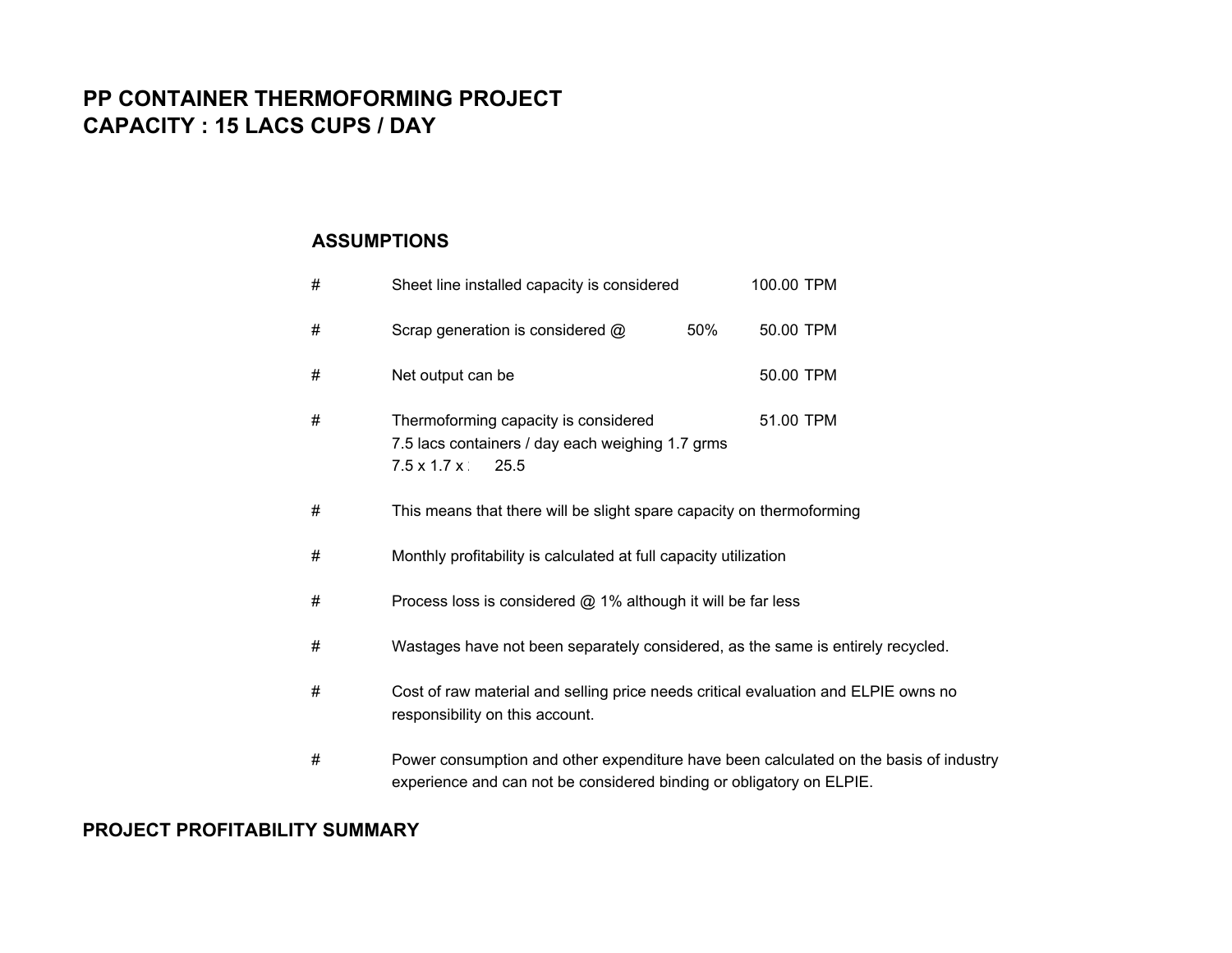## **PP CONTAINER THERMOFORMING PROJECTCAPACITY : 15 LACS CUPS / DAY**

## **ASSUMPTIONS**

| # | Sheet line installed capacity is considered                                                                                 |     | 100.00 TPM |  |  |  |
|---|-----------------------------------------------------------------------------------------------------------------------------|-----|------------|--|--|--|
| # | Scrap generation is considered @                                                                                            | 50% | 50.00 TPM  |  |  |  |
| # | Net output can be                                                                                                           |     | 50.00 TPM  |  |  |  |
| # | Thermoforming capacity is considered<br>7.5 lacs containers / day each weighing 1.7 grms<br>$7.5 \times 1.7 \times$<br>25.5 |     | 51.00 TPM  |  |  |  |
| # | This means that there will be slight spare capacity on thermoforming                                                        |     |            |  |  |  |
| # | Monthly profitability is calculated at full capacity utilization                                                            |     |            |  |  |  |
| # | Process loss is considered $@$ 1% although it will be far less                                                              |     |            |  |  |  |
| # | Wastages have not been separately considered, as the same is entirely recycled.                                             |     |            |  |  |  |
| # | Cost of raw material and selling price needs critical evaluation and ELPIE owns no<br>responsibility on this account.       |     |            |  |  |  |
| # | Power consumption and other expenditure have been calculated on the basis of ind                                            |     |            |  |  |  |

# Power consumption and other expenditure have been calculated on the basis of industry experience and can not be considered binding or obligatory on ELPIE.

## **PROJECT PROFITABILITY SUMMARY**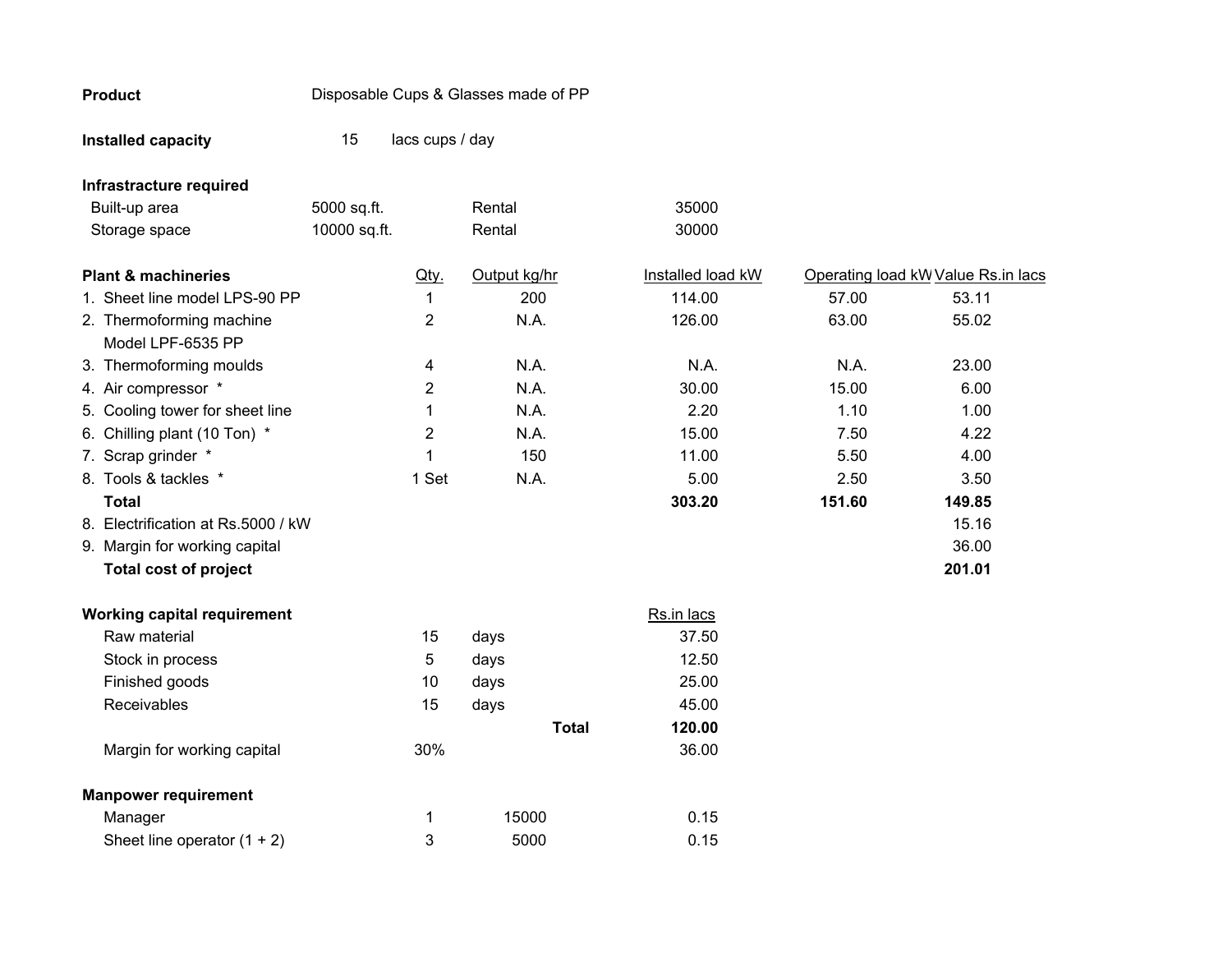| <b>Product</b>                     | Disposable Cups & Glasses made of PP |                 |              |                   |        |                                    |
|------------------------------------|--------------------------------------|-----------------|--------------|-------------------|--------|------------------------------------|
| Installed capacity                 | 15                                   | lacs cups / day |              |                   |        |                                    |
| Infrastracture required            |                                      |                 |              |                   |        |                                    |
| Built-up area                      | 5000 sq.ft.                          |                 | Rental       | 35000             |        |                                    |
| Storage space                      | 10000 sq.ft.                         |                 | Rental       | 30000             |        |                                    |
| <b>Plant &amp; machineries</b>     |                                      | Qty.            | Output kg/hr | Installed load kW |        | Operating load kW Value Rs.in lacs |
| 1. Sheet line model LPS-90 PP      |                                      | 1               | 200          | 114.00            | 57.00  | 53.11                              |
| 2. Thermoforming machine           |                                      | 2               | N.A.         | 126.00            | 63.00  | 55.02                              |
| Model LPF-6535 PP                  |                                      |                 |              |                   |        |                                    |
| 3. Thermoforming moulds            |                                      | 4               | N.A.         | N.A.              | N.A.   | 23.00                              |
| 4. Air compressor *                |                                      | $\overline{2}$  | N.A.         | 30.00             | 15.00  | 6.00                               |
| 5. Cooling tower for sheet line    |                                      | 1               | N.A.         | 2.20              | 1.10   | 1.00                               |
| 6. Chilling plant (10 Ton) *       |                                      | $\overline{2}$  | N.A.         | 15.00             | 7.50   | 4.22                               |
| 7. Scrap grinder *                 |                                      | 1               | 150          | 11.00             | 5.50   | 4.00                               |
| 8. Tools & tackles *               |                                      | 1 Set           | N.A.         | 5.00              | 2.50   | 3.50                               |
| <b>Total</b>                       |                                      |                 |              | 303.20            | 151.60 | 149.85                             |
| 8. Electrification at Rs.5000 / kW |                                      |                 |              |                   |        | 15.16                              |
| 9. Margin for working capital      |                                      |                 |              |                   |        | 36.00                              |
| <b>Total cost of project</b>       |                                      |                 |              |                   |        | 201.01                             |
| <b>Working capital requirement</b> |                                      |                 |              | Rs.in lacs        |        |                                    |
| Raw material                       |                                      | 15              | days         | 37.50             |        |                                    |
| Stock in process                   |                                      | 5               | days         | 12.50             |        |                                    |
| Finished goods                     |                                      | 10              | days         | 25.00             |        |                                    |
| Receivables                        |                                      | 15              | days         | 45.00             |        |                                    |
|                                    |                                      |                 | <b>Total</b> | 120.00            |        |                                    |
| Margin for working capital         |                                      | 30%             |              | 36.00             |        |                                    |
| <b>Manpower requirement</b>        |                                      |                 |              |                   |        |                                    |
| Manager                            |                                      | 1               | 15000        | 0.15              |        |                                    |
| Sheet line operator $(1 + 2)$      |                                      | 3               | 5000         | 0.15              |        |                                    |